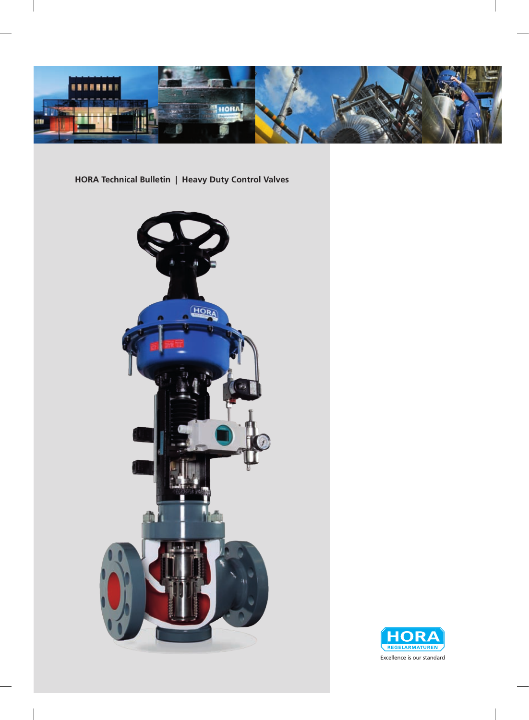

**HORA Technical Bulletin | Heavy Duty Control Valves**



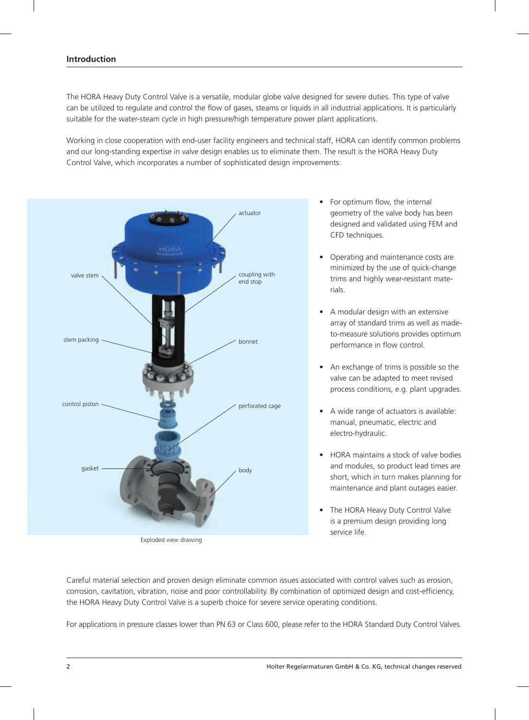The HORA Heavy Duty Control Valve is a versatile, modular globe valve designed for severe duties. This type of valve can be utilized to regulate and control the flow of gases, steams or liquids in all industrial applications. It is particularly suitable for the water-steam cycle in high pressure/high temperature power plant applications.

Working in close cooperation with end-user facility engineers and technical staff, HORA can identify common problems and our long-standing expertise in valve design enables us to eliminate them. The result is the HORA Heavy Duty Control Valve, which incorporates a number of sophisticated design improvements:



Exploded view drawing

- For optimum flow, the internal geometry of the valve body has been designed and validated using FEM and CFD techniques.
- Operating and maintenance costs are minimized by the use of quick-change trims and highly wear-resistant materials.
- A modular design with an extensive array of standard trims as well as madeto-measure solutions provides optimum performance in flow control.
- An exchange of trims is possible so the valve can be adapted to meet revised process conditions, e.g. plant upgrades.
- A wide range of actuators is available: manual, pneumatic, electric and electro-hydraulic.
- **HORA** maintains a stock of valve bodies and modules, so product lead times are short, which in turn makes planning for maintenance and plant outages easier.
- The HORA Heavy Duty Control Valve is a premium design providing long service life.

Careful material selection and proven design eliminate common issues associated with control valves such as erosion, corrosion, cavitation, vibration, noise and poor controllability. By combination of optimized design and cost-efficiency, the HORA Heavy Duty Control Valve is a superb choice for severe service operating conditions.

For applications in pressure classes lower than PN 63 or Class 600, please refer to the HORA Standard Duty Control Valves.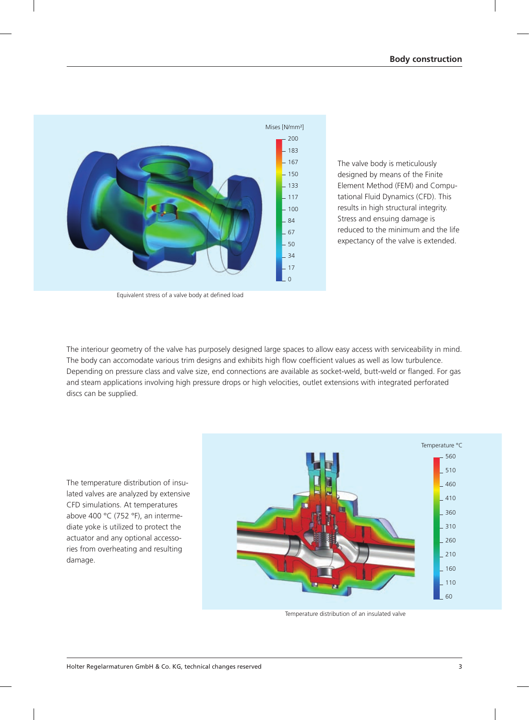

Equivalent stress of a valve body at defined load

The valve body is meticulously designed by means of the Finite Element Method (FEM) and Computational Fluid Dynamics (CFD). This results in high structural integrity. Stress and ensuing damage is reduced to the minimum and the life expectancy of the valve is extended.

The interiour geometry of the valve has purposely designed large spaces to allow easy access with serviceability in mind. The body can accomodate various trim designs and exhibits high flow coefficient values as well as low turbulence. Depending on pressure class and valve size, end connections are available as socket-weld, butt-weld or flanged. For gas and steam applications involving high pressure drops or high velocities, outlet extensions with integrated perforated discs can be supplied.

The temperature distribution of insulated valves are analyzed by extensive CFD simulations. At temperatures above 400  $^{\circ}$ C (752  $^{\circ}$ F), an intermediate yoke is utilized to protect the actuator and any optional accessories from overheating and resulting damage.



Temperature distribution of an insulated valve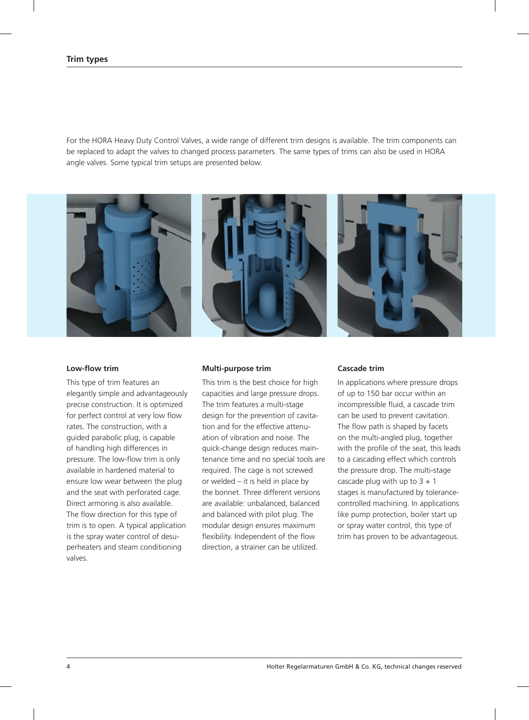For the HORA Heavy Duty Control Valves, a wide range of different trim designs is available. The trim components can be replaced to adapt the valves to changed process parameters. The same types of trims can also be used in HORA angle valves. Some typical trim setups are presented below.



# **Low-flow trim**

This type of trim features an elegantly simple and advantageously precise construction. It is optimized for perfect control at very low flow rates. The construction, with a guided parabolic plug, is capable of handling high differences in pressure. The low-flow trim is only available in hardened material to ensure low wear between the plug and the seat with perforated cage. Direct armoring is also available. The flow direction for this type of trim is to open. A typical application is the spray water control of desuperheaters and steam conditioning valves.

#### **Multi-purpose trim**

This trim is the best choice for high capacities and large pressure drops. The trim features a multi-stage design for the prevention of cavitation and for the effective attenuation of vibration and noise. The quick-change design reduces maintenance time and no special tools are required. The cage is not screwed or welded – it is held in place by the bonnet. Three different versions are available: unbalanced, balanced and balanced with pilot plug. The modular design ensures maximum flexibility. Independent of the flow direction, a strainer can be utilized.

# **Cascade trim**

In applications where pressure drops of up to 150 bar occur within an incompressible fluid, a cascade trim can be used to prevent cavitation. The flow path is shaped by facets on the multi-angled plug, together with the profile of the seat, this leads to a cascading effect which controls the pressure drop. The multi-stage cascade plug with up to  $3 + 1$ stages is manufactured by tolerancecontrolled machining. In applications like pump protection, boiler start up or spray water control, this type of trim has proven to be advantageous.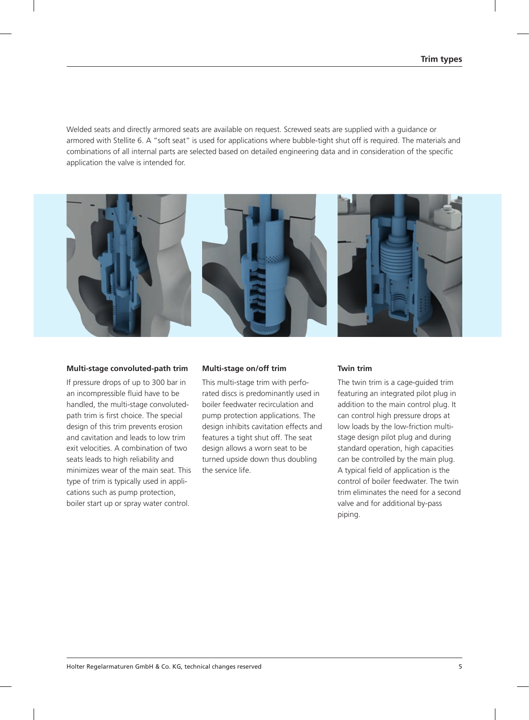Welded seats and directly armored seats are available on request. Screwed seats are supplied with a quidance or armored with Stellite 6. A "soft seat" is used for applications where bubble-tight shut off is required. The materials and combinations of all internal parts are selected based on detailed engineering data and in consideration of the specific application the valve is intended for.



# **Multi-stage convoluted-path trim**

If pressure drops of up to 300 bar in an incompressible fluid have to be handled, the multi-stage convolutedpath trim is first choice. The special design of this trim prevents erosion and cavitation and leads to low trim exit velocities. A combination of two seats leads to high reliability and minimizes wear of the main seat. This type of trim is typically used in applications such as pump protection, boiler start up or spray water control.

#### **Multi-stage on/off trim**

This multi-stage trim with perforated discs is predominantly used in boiler feedwater recirculation and pump protection applications. The design inhibits cavitation effects and features a tight shut off. The seat design allows a worn seat to be turned upside down thus doubling the service life.

### **Twin trim**

The twin trim is a cage-guided trim featuring an integrated pilot plug in addition to the main control plug. It can control high pressure drops at low loads by the low-friction multistage design pilot plug and during standard operation, high capacities can be controlled by the main plug. A typical field of application is the control of boiler feedwater. The twin trim eliminates the need for a second valve and for additional by-pass piping.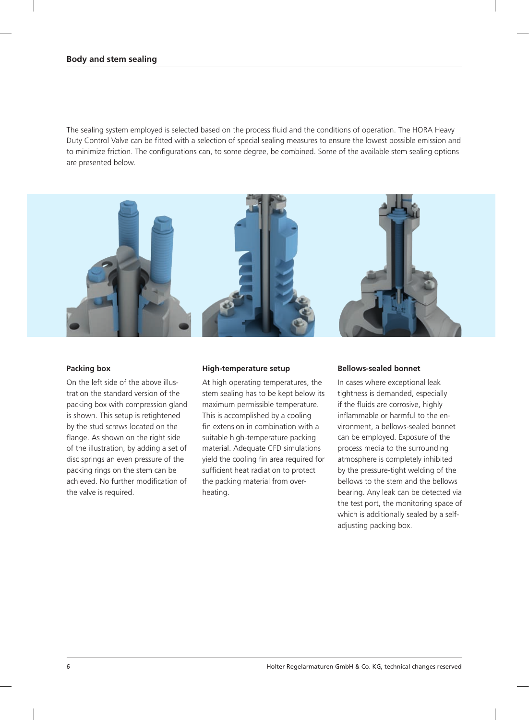The sealing system employed is selected based on the process fluid and the conditions of operation. The HORA Heavy Duty Control Valve can be fitted with a selection of special sealing measures to ensure the lowest possible emission and to minimize friction. The configurations can, to some degree, be combined. Some of the available stem sealing options are presented below.



# **Packing box**

On the left side of the above illustration the standard version of the packing box with compression gland is shown. This setup is retightened by the stud screws located on the flange. As shown on the right side of the illustration, by adding a set of disc springs an even pressure of the packing rings on the stem can be achieved. No further modification of the valve is required.

### **High-temperature setup**

At high operating temperatures, the stem sealing has to be kept below its maximum permissible temperature. This is accomplished by a cooling fin extension in combination with a suitable high-temperature packing material. Adequate CFD simulations yield the cooling fin area required for sufficient heat radiation to protect the packing material from overheating.

# **Bellows-sealed bonnet**

In cases where exceptional leak tightness is demanded, especially if the fluids are corrosive, highly inflammable or harmful to the environment, a bellows-sealed bonnet can be employed. Exposure of the process media to the surrounding atmosphere is completely inhibited by the pressure-tight welding of the bellows to the stem and the bellows bearing. Any leak can be detected via the test port, the monitoring space of which is additionally sealed by a selfadjusting packing box.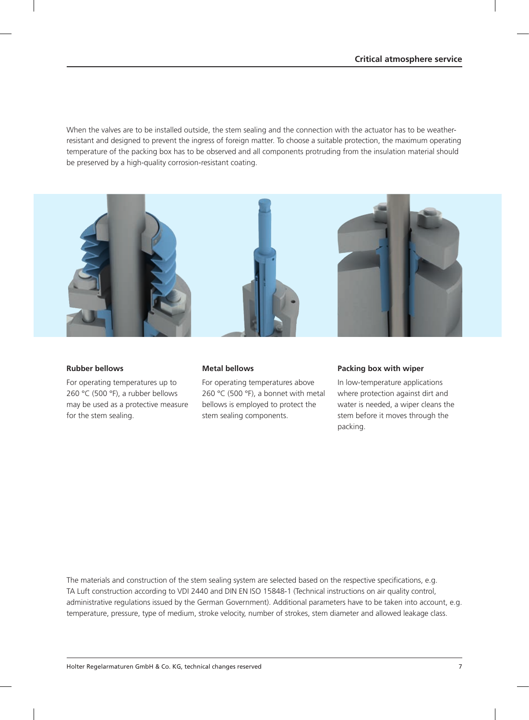When the valves are to be installed outside, the stem sealing and the connection with the actuator has to be weatherresistant and designed to prevent the ingress of foreign matter. To choose a suitable protection, the maximum operating temperature of the packing box has to be observed and all components protruding from the insulation material should be preserved by a high-quality corrosion-resistant coating.



# **Rubber bellows**

For operating temperatures up to 260 °C (500 °F), a rubber bellows may be used as a protective measure for the stem sealing.

### **Metal bellows**

For operating temperatures above 260 °C (500 °F), a bonnet with metal bellows is employed to protect the stem sealing components.

### **Packing box with wiper**

In low-temperature applications where protection against dirt and water is needed, a wiper cleans the stem before it moves through the packing.

The materials and construction of the stem sealing system are selected based on the respective specifications, e.g. TA Luft construction according to VDI 2440 and DIN EN ISO 15848-1 (Technical instructions on air quality control, administrative regulations issued by the German Government). Additional parameters have to be taken into account, e.g. temperature, pressure, type of medium, stroke velocity, number of strokes, stem diameter and allowed leakage class.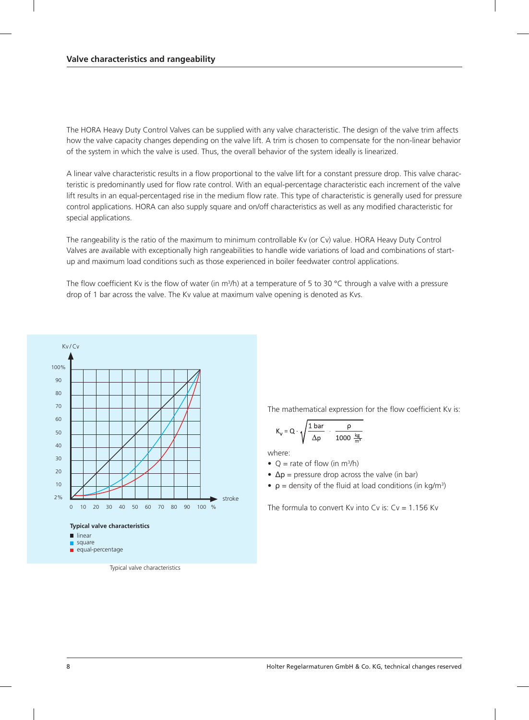The HORA Heavy Duty Control Valves can be supplied with any valve characteristic. The design of the valve trim affects how the valve capacity changes depending on the valve lift. A trim is chosen to compensate for the non-linear behavior of the system in which the valve is used. Thus, the overall behavior of the system ideally is linearized.

A linear valve characteristic results in a flow proportional to the valve lift for a constant pressure drop. This valve characteristic is predominantly used for flow rate control. With an equal-percentage characteristic each increment of the valve lift results in an equal-percentaged rise in the medium flow rate. This type of characteristic is generally used for pressure control applications. HORA can also supply square and on/off characteristics as well as any modified characteristic for special applications.

The rangeability is the ratio of the maximum to minimum controllable Kv (or Cv) value. HORA Heavy Duty Control Valves are available with exceptionally high rangeabilities to handle wide variations of load and combinations of startup and maximum load conditions such as those experienced in boiler feedwater control applications.

The flow coefficient Kv is the flow of water (in m<sup>3</sup>/h) at a temperature of 5 to 30 °C through a valve with a pressure drop of 1 bar across the valve. The Kv value at maximum valve opening is denoted as Kvs.



- 
- square equal-percentage

Typical valve characteristics

The mathematical expression for the flow coefficient Kv is:

$$
K_v = Q \cdot \sqrt{\frac{1 \text{ bar}}{\Delta p} \cdot \frac{\rho}{1000 \frac{\text{kg}}{\text{m}^3}}}
$$

where:

•  $Q =$  rate of flow (in m<sup>3</sup>/h)

•  $\Delta p$  = pressure drop across the valve (in bar)

•  $\rho$  = density of the fluid at load conditions (in kg/m<sup>3</sup>)

The formula to convert Ky into Cy is:  $Cv = 1.156$  Ky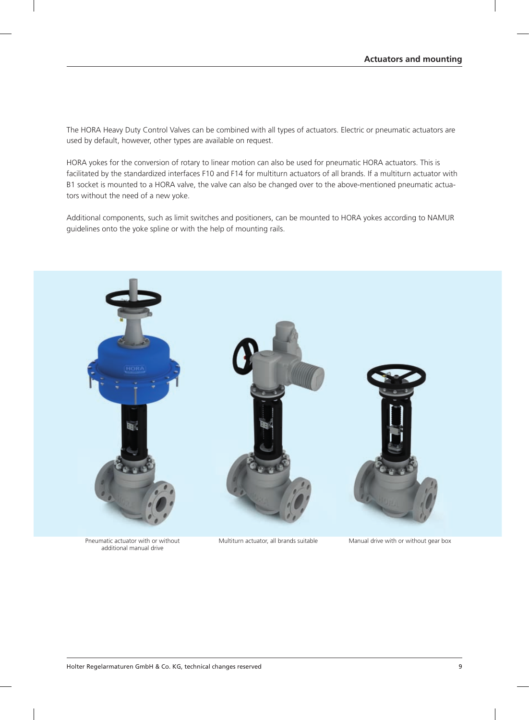The HORA Heavy Duty Control Valves can be combined with all types of actuators. Electric or pneumatic actuators are used by default, however, other types are available on request.

HORA yokes for the conversion of rotary to linear motion can also be used for pneumatic HORA actuators. This is facilitated by the standardized interfaces F10 and F14 for multiturn actuators of all brands. If a multiturn actuator with B1 socket is mounted to a HORA valve, the valve can also be changed over to the above-mentioned pneumatic actuators without the need of a new yoke.

Additional components, such as limit switches and positioners, can be mounted to HORA yokes according to NAMUR guidelines onto the yoke spline or with the help of mounting rails.



Pneumatic actuator with or without additional manual drive

Multiturn actuator, all brands suitable Manual drive with or without gear box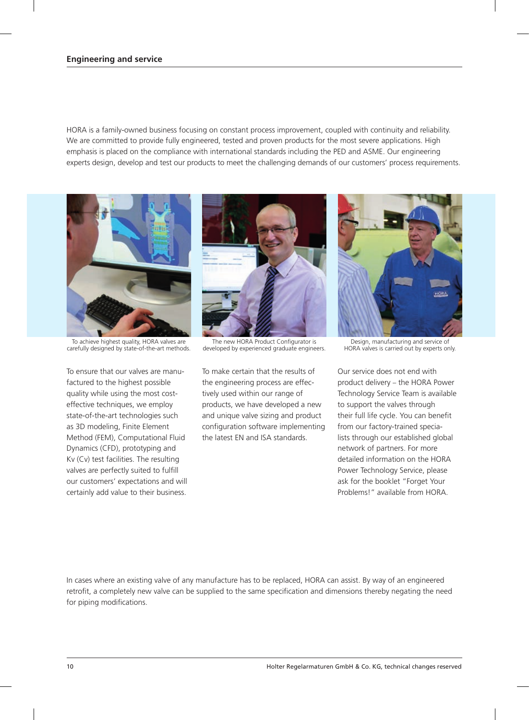HORA is a family-owned business focusing on constant process improvement, coupled with continuity and reliability. We are committed to provide fully engineered, tested and proven products for the most severe applications. High emphasis is placed on the compliance with international standards including the PED and ASME. Our engineering experts design, develop and test our products to meet the challenging demands of our customers' process requirements.



To achieve highest quality, HORA valves are carefully designed by state-of-the-art methods.

To ensure that our valves are manufactured to the highest possible quality while using the most costeffective techniques, we employ state-of-the-art technologies such as 3D modeling, Finite Element Method (FEM), Computational Fluid Dynamics (CFD), prototyping and Kv (Cv) test facilities. The resulting valves are perfectly suited to fulfill our customers' expectations and will certainly add value to their business.



The new HORA Product Configurator is developed by experienced graduate engineers.

To make certain that the results of the engineering process are effectively used within our range of products, we have developed a new and unique valve sizing and product configuration software implementing the latest EN and ISA standards.



Design, manufacturing and service of HORA valves is carried out by experts only.

Our service does not end with product delivery - the HORA Power Technology Service Team is available to support the valves through their full life cycle. You can benefit from our factory-trained specialists through our established global network of partners. For more detailed information on the HORA Power Technology Service, please ask for the booklet "Forget Your Problems!" available from HORA.

In cases where an existing valve of any manufacture has to be replaced, HORA can assist. By way of an engineered retrofit, a completely new valve can be supplied to the same specification and dimensions thereby negating the need for piping modifications.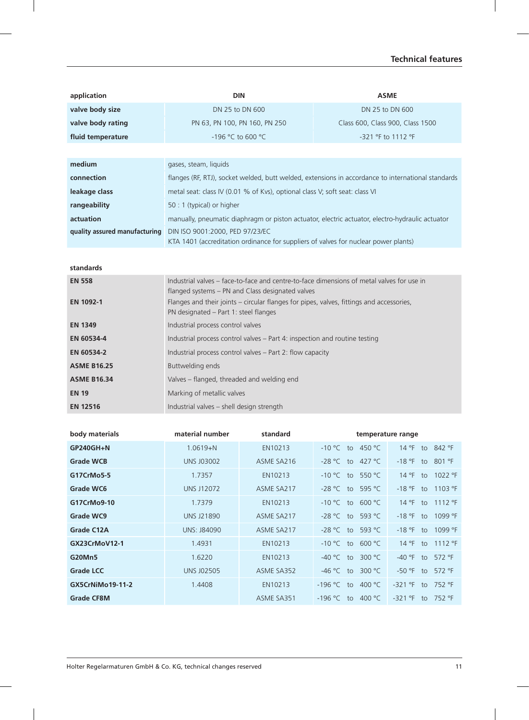# **Technical features**

| application       | <b>DIN</b>                                                                                         | <b>ASME</b>                      |  |  |  |
|-------------------|----------------------------------------------------------------------------------------------------|----------------------------------|--|--|--|
| valve body size   | DN 25 to DN 600                                                                                    | DN 25 to DN 600                  |  |  |  |
| valve body rating | PN 63, PN 100, PN 160, PN 250                                                                      | Class 600, Class 900, Class 1500 |  |  |  |
| fluid temperature | $-196$ °C to 600 °C                                                                                | -321 °F to 1112 °F               |  |  |  |
|                   |                                                                                                    |                                  |  |  |  |
| medium            | gases, steam, liquids                                                                              |                                  |  |  |  |
| connection        | flanges (RF, RTJ), socket welded, butt welded, extensions in accordance to international standards |                                  |  |  |  |
| leakage class     | metal seat: class IV (0.01 % of Kvs), optional class V; soft seat: class VI                        |                                  |  |  |  |
| rangeability      | 50 : 1 (typical) or higher                                                                         |                                  |  |  |  |
|                   |                                                                                                    |                                  |  |  |  |

**actuation** manually, pneumatic diaphragm or piston actuator, electric actuator, electro-hydraulic actuator **quality assured manufacturing** DIN ISO 9001:2000, PED 97/23/EC KTA 1401 (accreditation ordinance for suppliers of valves for nuclear power plants)

**standards**

| <b>EN 558</b>      | Industrial valves – face-to-face and centre-to-face dimensions of metal valves for use in |  |  |  |
|--------------------|-------------------------------------------------------------------------------------------|--|--|--|
|                    | flanged systems – PN and Class designated valves                                          |  |  |  |
| <b>EN 1092-1</b>   | Flanges and their joints - circular flanges for pipes, valves, fittings and accessories,  |  |  |  |
|                    | PN designated – Part 1: steel flanges                                                     |  |  |  |
| <b>EN 1349</b>     | Industrial process control valves                                                         |  |  |  |
| EN 60534-4         | Industrial process control valves – Part 4: inspection and routine testing                |  |  |  |
| EN 60534-2         | Industrial process control valves – Part 2: flow capacity                                 |  |  |  |
| <b>ASME B16.25</b> | Buttwelding ends                                                                          |  |  |  |
| <b>ASME B16.34</b> | Valves – flanged, threaded and welding end                                                |  |  |  |
| <b>EN 19</b>       | Marking of metallic valves                                                                |  |  |  |
| <b>EN 12516</b>    | Industrial valves - shell design strength                                                 |  |  |  |
|                    |                                                                                           |  |  |  |

| body materials          | material number    | standard   | temperature range               |                              |  |
|-------------------------|--------------------|------------|---------------------------------|------------------------------|--|
| GP240GH+N               | $1.0619 + N$       | EN10213    | $-10 °C$ to 450 °C              | $14^{\circ}$ F to<br>842 °F  |  |
| <b>Grade WCB</b>        | <b>UNS J03002</b>  | ASME SA216 | -28 °C to 427 °C                | $-18$ °F to 801 °F           |  |
| G17CrMo5-5              | 1.7357             | EN10213    | to 550 °C<br>$-10 °C$           | 1022 °F<br>$14^{\circ}$ F to |  |
| Grade WC6               | <b>UNS J12072</b>  | ASME SA217 | $-28 °C$ to 595 °C              | 1103 °F<br>$-18$ °F to       |  |
| G17CrMo9-10             | 1.7379             | EN10213    | $-10 °C$ to 600 °C              | 1112 °F<br>$14^{\circ}$ F to |  |
| Grade WC9               | <b>UNS J21890</b>  | ASME SA217 | $-28$ °C to 593 °C              | 1099 °F<br>$-18$ °F to       |  |
| <b>Grade C12A</b>       | <b>UNS: J84090</b> | ASME SA217 | $-28$ °C to 593 °C              | 1099 °F<br>$-18$ °F to       |  |
| GX23CrMoV12-1           | 1.4931             | EN10213    | $-10 °C$ to 600 °C              | 1112 °F<br>$14^{\circ}$ F to |  |
| G20Mn5                  | 1.6220             | EN10213    | 300 $^{\circ}$ C<br>$-40 °C$ to | 572 °F<br>$-40$ °F to        |  |
| <b>Grade LCC</b>        | <b>UNS J02505</b>  | ASME SA352 | -46 °C<br>300 °C<br>to          | -50 °F<br>572 °F<br>to       |  |
| <b>GX5CrNiMo19-11-2</b> | 1.4408             | EN10213    | 400 °C<br>$-196 °C$<br>to       | 752 °F<br>$-321$ °F<br>to    |  |
| <b>Grade CF8M</b>       |                    | ASME SA351 | 400 °C<br>-196 °C<br>to         | -321 °F<br>752 °F<br>to      |  |